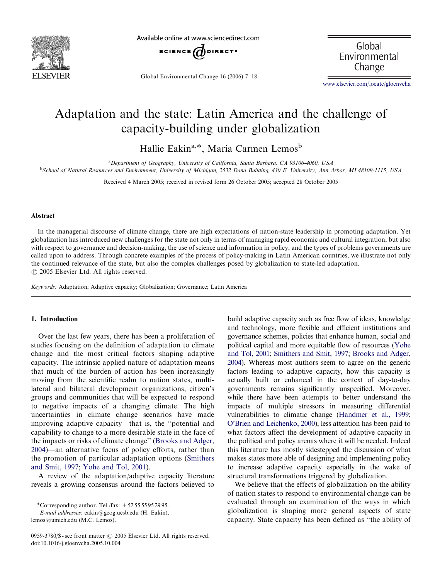

Available online at www.sciencedirect.com



Global Environmental Change 16 (2006) 7–18

Global Environmental Change

<www.elsevier.com/locate/gloenvcha>

# Adaptation and the state: Latin America and the challenge of capacity-building under globalization

Hallie Eakin<sup>a,\*</sup>, Maria Carmen Lemos<sup>b</sup>

<sup>a</sup> Department of Geography, University of California, Santa Barbara, CA 93106-4060, USA

<sup>b</sup>School of Natural Resources and Environment, University of Michigan, 2532 Dana Building, 430 E. University, Ann Arbor, MI 48109-1115, USA

Received 4 March 2005; received in revised form 26 October 2005; accepted 28 October 2005

#### Abstract

In the managerial discourse of climate change, there are high expectations of nation-state leadership in promoting adaptation. Yet globalization has introduced new challenges for the state not only in terms of managing rapid economic and cultural integration, but also with respect to governance and decision-making, the use of science and information in policy, and the types of problems governments are called upon to address. Through concrete examples of the process of policy-making in Latin American countries, we illustrate not only the continued relevance of the state, but also the complex challenges posed by globalization to state-led adaptation.  $\odot$  2005 Elsevier Ltd. All rights reserved.

Keywords: Adaptation; Adaptive capacity; Globalization; Governance; Latin America

## 1. Introduction

Over the last few years, there has been a proliferation of studies focusing on the definition of adaptation to climate change and the most critical factors shaping adaptive capacity. The intrinsic applied nature of adaptation means that much of the burden of action has been increasingly moving from the scientific realm to nation states, multilateral and bilateral development organizations, citizen's groups and communities that will be expected to respond to negative impacts of a changing climate. The high uncertainties in climate change scenarios have made improving adaptive capacity—that is, the ''potential and capability to change to a more desirable state in the face of the impacts or risks of climate change'' ([Brooks and Adger,](#page-10-0) [2004](#page-10-0))—an alternative focus of policy efforts, rather than the promotion of particular adaptation options [\(Smithers](#page-11-0) [and Smit, 1997;](#page-11-0) [Yohe and Tol, 2001](#page-11-0)).

A review of the adaptation/adaptive capacity literature reveals a growing consensus around the factors believed to

\*Corresponding author. Tel./fax:  $+525555952995$ .

E-mail addresses: eakin@geog.ucsb.edu (H. Eakin),

lemos@umich.edu (M.C. Lemos).

build adaptive capacity such as free flow of ideas, knowledge and technology, more flexible and efficient institutions and governance schemes, policies that enhance human, social and political capital and more equitable flow of resources [\(Yohe](#page-11-0) [and Tol, 2001](#page-11-0); [Smithers and Smit, 1997;](#page-11-0) [Brooks and Adger,](#page-10-0) [2004\)](#page-10-0). Whereas most authors seem to agree on the generic factors leading to adaptive capacity, how this capacity is actually built or enhanced in the context of day-to-day governments remains significantly unspecified. Moreover, while there have been attempts to better understand the impacts of multiple stressors in measuring differential vulnerabilities to climatic change [\(Handmer et al., 1999;](#page-10-0) [O'Brien and Leichenko, 2000](#page-11-0)), less attention has been paid to what factors affect the development of adaptive capacity in the political and policy arenas where it will be needed. Indeed this literature has mostly sidestepped the discussion of what makes states more able of designing and implementing policy to increase adaptive capacity especially in the wake of structural transformations triggered by globalization.

We believe that the effects of globalization on the ability of nation states to respond to environmental change can be evaluated through an examination of the ways in which globalization is shaping more general aspects of state capacity. State capacity has been defined as ''the ability of

<sup>0959-3780/\$ -</sup> see front matter © 2005 Elsevier Ltd. All rights reserved. doi:10.1016/j.gloenvcha.2005.10.004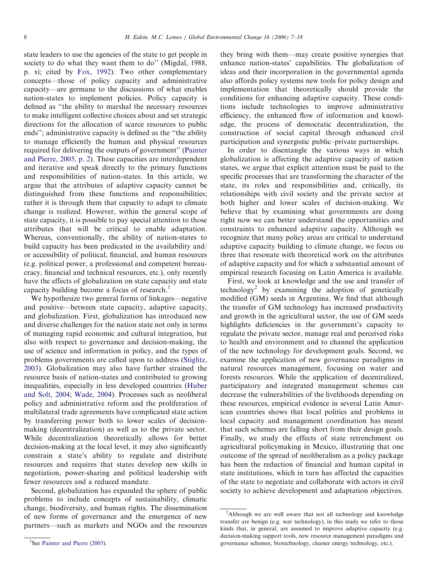state leaders to use the agencies of the state to get people in society to do what they want them to do'' (Migdal, 1988, p. xi; cited by [Fox, 1992\)](#page-10-0). Two other complementary concepts—those of policy capacity and administrative capacity—are germane to the discussions of what enables nation-states to implement policies. Policy capacity is defined as ''the ability to marshal the necessary resources to make intelligent collective choices about and set strategic directions for the allocation of scarce resources to public ends''; administrative capacity is defined as the ''the ability to manage efficiently the human and physical resources required for delivering the outputs of government'' ([Painter](#page-11-0) [and Pierre, 2005, p. 2\)](#page-11-0). These capacities are interdependent and iterative and speak directly to the primary functions and responsibilities of nation-states. In this article, we argue that the attributes of adaptive capacity cannot be distinguished from these functions and responsibilities; rather it is through them that capacity to adapt to climate change is realized. However, within the general scope of state capacity, it is possible to pay special attention to those attributes that will be critical to enable adaptation. Whereas, conventionally, the ability of nation-states to build capacity has been predicated in the availability and/ or accessibility of political, financial, and human resources (e.g. political power, a professional and competent bureaucracy, financial and technical resources, etc.), only recently have the effects of globalization on state capacity and state capacity building become a focus of research.<sup>1</sup>

We hypothesize two general forms of linkages—negative and positive—between state capacity, adaptive capacity, and globalization. First, globalization has introduced new and diverse challenges for the nation state not only in terms of managing rapid economic and cultural integration, but also with respect to governance and decision-making, the use of science and information in policy, and the types of problems governments are called upon to address [\(Stiglitz,](#page-11-0) [2003\)](#page-11-0). Globalization may also have further strained the resource basis of nation-states and contributed to growing inequalities, especially in less developed countries [\(Huber](#page-10-0) [and Solt, 2004;](#page-10-0) [Wade, 2004\)](#page-11-0). Processes such as neoliberal policy and administrative reform and the proliferation of multilateral trade agreements have complicated state action by transferring power both to lower scales of decisionmaking (decentralization) as well as to the private sector. While decentralization theoretically allows for better decision-making at the local level, it may also significantly constrain a state's ability to regulate and distribute resources and requires that states develop new skills in negotiation, power-sharing and political leadership with fewer resources and a reduced mandate.

Second, globalization has expanded the sphere of public problems to include concepts of sustainability, climatic change, biodiversity, and human rights. The dissemination of new forms of governance and the emergence of new partners—such as markets and NGOs and the resources they bring with them—may create positive synergies that enhance nation-states' capabilities. The globalization of ideas and their incorporation in the governmental agenda also affords policy systems new tools for policy design and implementation that theoretically should provide the conditions for enhancing adaptive capacity. These conditions include technologies to improve administrative efficiency, the enhanced flow of information and knowledge, the process of democratic decentralization, the construction of social capital through enhanced civil participation and synergistic public–private partnerships.

In order to disentangle the various ways in which globalization is affecting the adaptive capacity of nation states, we argue that explicit attention must be paid to the specific processes that are transforming the character of the state, its roles and responsibilities and, critically, its relationships with civil society and the private sector at both higher and lower scales of decision-making. We believe that by examining what governments are doing right now we can better understand the opportunities and constraints to enhanced adaptive capacity. Although we recognize that many policy areas are critical to understand adaptive capacity building to climate change, we focus on three that resonate with theoretical work on the attributes of adaptive capacity and for which a substantial amount of empirical research focusing on Latin America is available.

First, we look at knowledge and the use and transfer of technology<sup>2</sup> by examining the adoption of genetically modified (GM) seeds in Argentina. We find that although the transfer of GM technology has increased productivity and growth in the agricultural sector, the use of GM seeds highlights deficiencies in the government's capacity to regulate the private sector, manage real and perceived risks to health and environment and to channel the application of the new technology for development goals. Second, we examine the application of new governance paradigms in natural resources management, focusing on water and forests resources. While the application of decentralized, participatory and integrated management schemes can decrease the vulnerabilities of the livelihoods depending on these resources, empirical evidence in several Latin American countries shows that local politics and problems in local capacity and management coordination has meant that such schemes are falling short from their design goals. Finally, we study the effects of state retrenchment on agricultural policymaking in Mexico, illustrating that one outcome of the spread of neoliberalism as a policy package has been the reduction of financial and human capital in state institutions, which in turn has affected the capacities of the state to negotiate and collaborate with actors in civil society to achieve development and adaptation objectives.

<sup>&</sup>lt;sup>1</sup>See [Painter and Pierre \(2005\)](#page-11-0).

<sup>&</sup>lt;sup>2</sup>Although we are well aware that not all technology and knowledge transfer are benign (e.g. war technology), in this study we refer to those kinds that, in general, are assumed to improve adaptive capacity (e.g. decision-making support tools, new resource management paradigms and governance schemes, biotechnology, cleaner energy technology, etc.).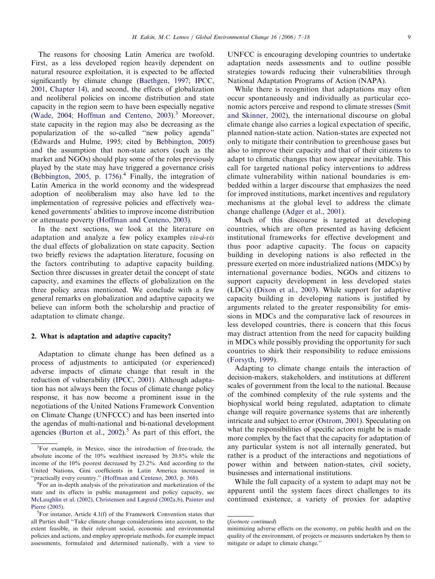The reasons for choosing Latin America are twofold. First, as a less developed region heavily dependent on natural resource exploitation, it is expected to be affected significantly by climate change ([Baethgen, 1997](#page-10-0); [IPCC,](#page-11-0) [2001, Chapter 14](#page-11-0)), and second, the effects of globalization and neoliberal policies on income distribution and state capacity in the region seem to have been especially negative ([Wade, 2004;](#page-11-0) [Hoffman and Centeno, 2003](#page-10-0)).<sup>3</sup> Moreover, state capacity in the region may also be decreasing as the popularization of the so-called ''new policy agenda'' (Edwards and Hulme, 1995; cited by [Bebbington, 2005](#page-10-0)) and the assumption that non-state actors (such as the market and NGOs) should play some of the roles previously played by the state may have triggered a governance crisis ([Bebbington, 2005, p. 1756\)](#page-10-0).4 Finally, the integration of Latin America in the world economy and the widespread adoption of neoliberalism may also have led to the implementation of regressive policies and effectively weakened governments' abilities to improve income distribution or attenuate poverty ([Hoffman and Centeno, 2003\)](#page-10-0).

In the next sections, we look at the literature on adaptation and analyze a few policy examples  $vis-\hat{a}-vis$ the dual effects of globalization on state capacity. Section two briefly reviews the adaptation literature, focusing on the factors contributing to adaptive capacity building. Section three discusses in greater detail the concept of state capacity, and examines the effects of globalization on the three policy areas mentioned. We conclude with a few general remarks on globalization and adaptive capacity we believe can inform both the scholarship and practice of adaptation to climate change.

## 2. What is adaptation and adaptive capacity?

Adaptation to climate change has been defined as a process of adjustments to anticipated (or experienced) adverse impacts of climate change that result in the reduction of vulnerability [\(IPCC, 2001](#page-11-0)). Although adaptation has not always been the focus of climate change policy response, it has now become a prominent issue in the negotiations of the United Nations Framework Convention on Climate Change (UNFCCC) and has been inserted into the agendas of multi-national and bi-national development agencies (Burton et al.,  $2002$ ).<sup>5</sup> As part of this effort, the UNFCC is encouraging developing countries to undertake adaptation needs assessments and to outline possible strategies towards reducing their vulnerabilities through National Adaptation Programs of Action (NAPA).

While there is recognition that adaptations may often occur spontaneously and individually as particular economic actors perceive and respond to climate stresses ([Smit](#page-11-0) [and Skinner, 2002](#page-11-0)), the international discourse on global climate change also carries a logical expectation of specific, planned nation-state action. Nation-states are expected not only to mitigate their contribution to greenhouse gases but also to improve their capacity and that of their citizens to adapt to climatic changes that now appear inevitable. This call for targeted national policy interventions to address climate vulnerability within national boundaries is embedded within a larger discourse that emphasizes the need for improved institutions, market incentives and regulatory mechanisms at the global level to address the climate change challenge ([Adger et al., 2001\)](#page-10-0).

Much of this discourse is targeted at developing countries, which are often presented as having deficient institutional frameworks for effective development and thus poor adaptive capacity. The focus on capacity building in developing nations is also reflected in the pressure exerted on more industrialized nations (MDCs) by international governance bodies, NGOs and citizens to support capacity development in less developed states (LDCs) ([Dixon et al., 2003](#page-10-0)). While support for adaptive capacity building in developing nations is justified by arguments related to the greater responsibility for emissions in MDCs and the comparative lack of resources in less developed countries, there is concern that this focus may distract attention from the need for capacity building in MDCs while possibly providing the opportunity for such countries to shirk their responsibility to reduce emissions ([Forsyth, 1999\)](#page-10-0).

Adapting to climate change entails the interaction of decision-makers, stakeholders, and institutions at different scales of government from the local to the national. Because of the combined complexity of the rule systems and the biophysical world being regulated, adaptation to climate change will require governance systems that are inherently intricate and subject to error ([Ostrom, 2001](#page-11-0)). Speculating on what the responsibilities of specific actors might be is made more complex by the fact that the capacity for adaptation of any particular system is not all internally generated, but rather is a product of the interactions and negotiations of power within and between nation-states, civil society, businesses and international institutions.

While the full capacity of a system to adapt may not be apparent until the system faces direct challenges to its continued existence, a variety of proxies for adaptive

<sup>&</sup>lt;sup>3</sup>For example, in Mexico, since the introduction of free-trade, the absolute income of the 10% wealthiest increased by 20.8% while the income of the 10% poorest decreased by 23.2%. And according to the United Nations, Gini coefficients in Latin America increased in "practically every country." ([Hoffman and Centeno, 2003, p. 368\)](#page-10-0).

<sup>4</sup> For an in-depth analysis of the privatization and marketization of the state and its effects in public management and policy capacity, see [McLaughlin et al. \(2002\),](#page-11-0) [Christensen and Lægreid \(2002a,b\),](#page-10-0) [Painter and](#page-11-0) [Pierre \(2005\)](#page-11-0).

 ${}^{5}$ For instance, Article 4.1(f) of the Framework Convention states that all Parties shall ''Take climate change considerations into account, to the extent feasible, in their relevant social, economic and environmental policies and actions, and employ appropriate methods, for example impact assessments, formulated and determined nationally, with a view to

<sup>(</sup>footnote continued)

minimizing adverse effects on the economy, on public health and on the quality of the environment, of projects or measures undertaken by them to mitigate or adapt to climate change.''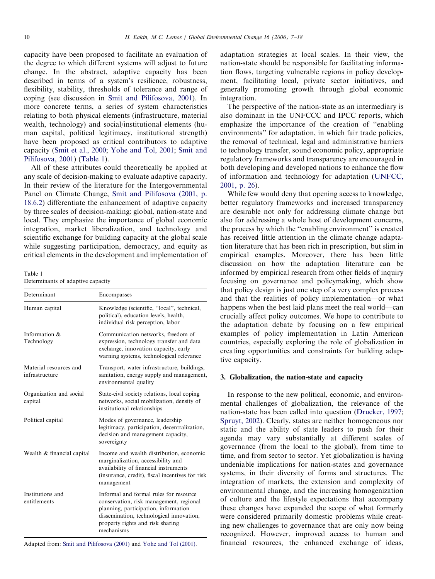<span id="page-3-0"></span>capacity have been proposed to facilitate an evaluation of the degree to which different systems will adjust to future change. In the abstract, adaptive capacity has been described in terms of a system's resilience, robustness, flexibility, stability, thresholds of tolerance and range of coping (see discussion in [Smit and Pilifosova, 2001\)](#page-11-0). In more concrete terms, a series of system characteristics relating to both physical elements (infrastructure, material wealth, technology) and social/institutional elements (human capital, political legitimacy, institutional strength) have been proposed as critical contributors to adaptive capacity ([Smit et al., 2000](#page-11-0); [Yohe and Tol, 2001](#page-11-0); [Smit and](#page-11-0) [Pilifosova, 2001](#page-11-0)) (Table 1).

All of these attributes could theoretically be applied at any scale of decision-making to evaluate adaptive capacity. In their review of the literature for the Intergovernmental Panel on Climate Change, [Smit and Pilifosova \(2001, p.](#page-11-0) [18.6.2](#page-11-0)) differentiate the enhancement of adaptive capacity by three scales of decision-making: global, nation-state and local. They emphasize the importance of global economic integration, market liberalization, and technology and scientific exchange for building capacity at the global scale while suggesting participation, democracy, and equity as critical elements in the development and implementation of

|--|--|--|

Determinants of adaptive capacity

| Determinant                              | Encompasses                                                                                                                                                                                                             |
|------------------------------------------|-------------------------------------------------------------------------------------------------------------------------------------------------------------------------------------------------------------------------|
| Human capital                            | Knowledge (scientific, "local", technical,<br>political), education levels, health,<br>individual risk perception, labor                                                                                                |
| Information &<br>Technology              | Communication networks, freedom of<br>expression, technology transfer and data<br>exchange, innovation capacity, early<br>warning systems, technological relevance                                                      |
| Material resources and<br>infrastructure | Transport, water infrastructure, buildings,<br>sanitation, energy supply and management,<br>environmental quality                                                                                                       |
| Organization and social<br>capital       | State-civil society relations, local coping<br>networks, social mobilization, density of<br>institutional relationships                                                                                                 |
| Political capital                        | Modes of governance, leadership<br>legitimacy, participation, decentralization,<br>decision and management capacity,<br>sovereignty                                                                                     |
| Wealth & financial capital               | Income and wealth distribution, economic<br>marginalization, accessibility and<br>availability of financial instruments<br>(insurance, credit), fiscal incentives for risk<br>management                                |
| Institutions and<br>entitlements         | Informal and formal rules for resource<br>conservation, risk management, regional<br>planning, participation, information<br>dissemination, technological innovation,<br>property rights and risk sharing<br>mechanisms |

Adapted from: [Smit and Pilifosova \(2001\)](#page-11-0) and [Yohe and Tol \(2001\).](#page-11-0)

adaptation strategies at local scales. In their view, the nation-state should be responsible for facilitating information flows, targeting vulnerable regions in policy development, facilitating local, private sector initiatives, and generally promoting growth through global economic integration.

The perspective of the nation-state as an intermediary is also dominant in the UNFCCC and IPCC reports, which emphasize the importance of the creation of ''enabling environments'' for adaptation, in which fair trade policies, the removal of technical, legal and administrative barriers to technology transfer, sound economic policy, appropriate regulatory frameworks and transparency are encouraged in both developing and developed nations to enhance the flow of information and technology for adaptation ([UNFCC,](#page-11-0) [2001, p. 26](#page-11-0)).

While few would deny that opening access to knowledge, better regulatory frameworks and increased transparency are desirable not only for addressing climate change but also for addressing a whole host of development concerns, the process by which the ''enabling environment'' is created has received little attention in the climate change adaptation literature that has been rich in prescription, but slim in empirical examples. Moreover, there has been little discussion on how the adaptation literature can be informed by empirical research from other fields of inquiry focusing on governance and policymaking, which show that policy design is just one step of a very complex process and that the realities of policy implementation—or what happens when the best laid plans meet the real world—can crucially affect policy outcomes. We hope to contribute to the adaptation debate by focusing on a few empirical examples of policy implementation in Latin American countries, especially exploring the role of globalization in creating opportunities and constraints for building adaptive capacity.

## 3. Globalization, the nation-state and capacity

In response to the new political, economic, and environmental challenges of globalization, the relevance of the nation-state has been called into question [\(Drucker, 1997](#page-10-0); [Spruyt, 2002\)](#page-11-0). Clearly, states are neither homogeneous nor static and the ability of state leaders to push for their agenda may vary substantially at different scales of governance (from the local to the global), from time to time, and from sector to sector. Yet globalization is having undeniable implications for nation-states and governance systems, in their diversity of forms and structures. The integration of markets, the extension and complexity of environmental change, and the increasing homogenization of culture and the lifestyle expectations that accompany these changes have expanded the scope of what formerly were considered primarily domestic problems while creating new challenges to governance that are only now being recognized. However, improved access to human and financial resources, the enhanced exchange of ideas,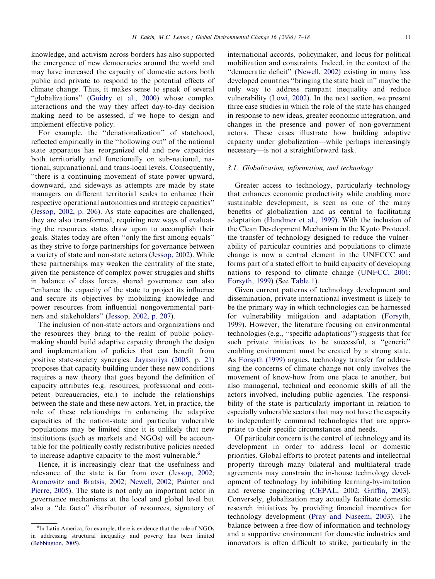knowledge, and activism across borders has also supported the emergence of new democracies around the world and may have increased the capacity of domestic actors both public and private to respond to the potential effects of climate change. Thus, it makes sense to speak of several ''globalizations'' ([Guidry et al., 2000\)](#page-10-0) whose complex interactions and the way they affect day-to-day decision making need to be assessed, if we hope to design and implement effective policy.

For example, the ''denationalization'' of statehood, reflected empirically in the ''hollowing out'' of the national state apparatus has reorganized old and new capacities both territorially and functionally on sub-national, national, supranational, and trans-local levels. Consequently, ''there is a continuing movement of state power upward, downward, and sideways as attempts are made by state managers on different territorial scales to enhance their respective operational autonomies and strategic capacities'' ([Jessop, 2002, p. 206\)](#page-11-0). As state capacities are challenged, they are also transformed, requiring new ways of evaluating the resources states draw upon to accomplish their goals. States today are often ''only the first among equals'' as they strive to forge partnerships for governance between a variety of state and non-state actors [\(Jessop, 2002\)](#page-11-0). While these partnerships may weaken the centrality of the state, given the persistence of complex power struggles and shifts in balance of class forces, shared governance can also ''enhance the capacity of the state to project its influence and secure its objectives by mobilizing knowledge and power resources from influential nongovernmental partners and stakeholders'' [\(Jessop, 2002, p. 207](#page-11-0)).

The inclusion of non-state actors and organizations and the resources they bring to the realm of public policymaking should build adaptive capacity through the design and implementation of policies that can benefit from positive state-society synergies. [Jayasuriya \(2005, p. 21\)](#page-11-0) proposes that capacity building under these new conditions requires a new theory that goes beyond the definition of capacity attributes (e.g. resources, professional and competent bureaucracies, etc.) to include the relationships between the state and these new actors. Yet, in practice, the role of these relationships in enhancing the adaptive capacities of the nation-state and particular vulnerable populations may be limited since it is unlikely that new institutions (such as markets and NGOs) will be accountable for the politically costly redistributive policies needed to increase adaptive capacity to the most vulnerable.<sup>6</sup>

Hence, it is increasingly clear that the usefulness and relevance of the state is far from over ([Jessop, 2002;](#page-11-0) [Aronowitz and Bratsis, 2002](#page-10-0); [Newell, 2002;](#page-11-0) [Painter and](#page-11-0) [Pierre, 2005](#page-11-0)). The state is not only an important actor in governance mechanisms at the local and global level but also a ''de facto'' distributor of resources, signatory of international accords, policymaker, and locus for political mobilization and constraints. Indeed, in the context of the ''democratic deficit'' ([Newell, 2002](#page-11-0)) existing in many less developed countries ''bringing the state back in'' maybe the only way to address rampant inequality and reduce vulnerability [\(Lowi, 2002](#page-11-0)). In the next section, we present three case studies in which the role of the state has changed in response to new ideas, greater economic integration, and changes in the presence and power of non-government actors. These cases illustrate how building adaptive capacity under globalization—while perhaps increasingly necessary—is not a straightforward task.

## 3.1. Globalization, information, and technology

Greater access to technology, particularly technology that enhances economic productivity while enabling more sustainable development, is seen as one of the many benefits of globalization and as central to facilitating adaptation [\(Handmer et al., 1999\)](#page-10-0). With the inclusion of the Clean Development Mechanism in the Kyoto Protocol, the transfer of technology designed to reduce the vulnerability of particular countries and populations to climate change is now a central element in the UNFCCC and forms part of a stated effort to build capacity of developing nations to respond to climate change ([UNFCC, 2001;](#page-11-0) [Forsyth, 1999](#page-10-0)) (See [Table 1](#page-3-0)).

Given current patterns of technology development and dissemination, private international investment is likely to be the primary way in which technologies can be harnessed for vulnerability mitigation and adaptation [\(Forsyth,](#page-10-0) [1999](#page-10-0)). However, the literature focusing on environmental technologies (e.g., ''specific adaptations'') suggests that for such private initiatives to be successful, a "generic" enabling environment must be created by a strong state. As [Forsyth \(1999\)](#page-10-0) argues, technology transfer for addressing the concerns of climate change not only involves the movement of know-how from one place to another, but also managerial, technical and economic skills of all the actors involved, including public agencies. The responsibility of the state is particularly important in relation to especially vulnerable sectors that may not have the capacity to independently command technologies that are appropriate to their specific circumstances and needs.

Of particular concern is the control of technology and its development in order to address local or domestic priorities. Global efforts to protect patents and intellectual property through many bilateral and multilateral trade agreements may constrain the in-house technology development of technology by inhibiting learning-by-imitation and reverse engineering [\(CEPAL, 2002](#page-10-0); [Griffin, 2003\)](#page-10-0). Conversely, globalization may actually facilitate domestic research initiatives by providing financial incentives for technology development ([Pray and Naseem, 2003\)](#page-11-0). The balance between a free-flow of information and technology and a supportive environment for domestic industries and innovators is often difficult to strike, particularly in the

<sup>6</sup> In Latin America, for example, there is evidence that the role of NGOs in addressing structural inequality and poverty has been limited [\(Bebbington, 2005](#page-10-0)).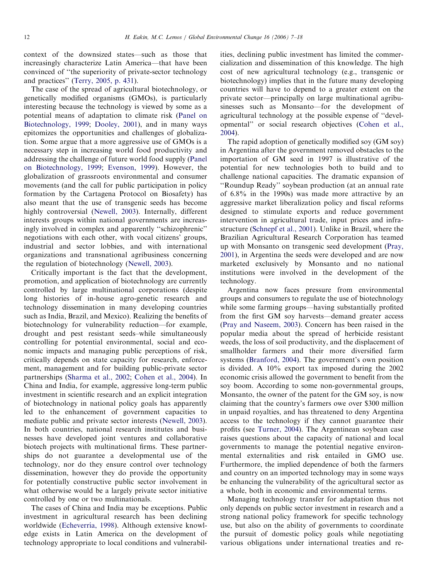context of the downsized states—such as those that increasingly characterize Latin America—that have been convinced of ''the superiority of private-sector technology and practices'' [\(Terry, 2005, p. 431\)](#page-11-0).

The case of the spread of agricultural biotechnology, or genetically modified organisms (GMOs), is particularly interesting because the technology is viewed by some as a potential means of adaptation to climate risk [\(Panel on](#page-11-0) [Biotechnology, 1999](#page-11-0); [Dooley, 2001\)](#page-10-0), and in many ways epitomizes the opportunities and challenges of globalization. Some argue that a more aggressive use of GMOs is a necessary step in increasing world food productivity and addressing the challenge of future world food supply [\(Panel](#page-11-0) [on Biotechnology, 1999](#page-11-0); [Evenson, 1999](#page-10-0)). However, the globalization of grassroots environmental and consumer movements (and the call for public participation in policy formation by the Cartagena Protocol on Biosafety) has also meant that the use of transgenic seeds has become highly controversial ([Newell, 2003](#page-11-0)). Internally, different interests groups within national governments are increasingly involved in complex and apparently ''schizophrenic'' negotiations with each other, with vocal citizens' groups, industrial and sector lobbies, and with international organizations and transnational agribusiness concerning the regulation of biotechnology [\(Newell, 2003\)](#page-11-0).

Critically important is the fact that the development, promotion, and application of biotechnology are currently controlled by large multinational corporations (despite long histories of in-house agro-genetic research and technology dissemination in many developing countries such as India, Brazil, and Mexico). Realizing the benefits of biotechnology for vulnerability reduction—for example, drought and pest resistant seeds–while simultaneously controlling for potential environmental, social and economic impacts and managing public perceptions of risk, critically depends on state capacity for research, enforcement, management and for building public-private sector partnerships ([Sharma et al., 2002;](#page-11-0) [Cohen et al., 2004\)](#page-10-0). In China and India, for example, aggressive long-term public investment in scientific research and an explicit integration of biotechnology in national policy goals has apparently led to the enhancement of government capacities to mediate public and private sector interests [\(Newell, 2003\)](#page-11-0). In both countries, national research institutes and businesses have developed joint ventures and collaborative biotech projects with multinational firms. These partnerships do not guarantee a developmental use of the technology, nor do they ensure control over technology dissemination, however they do provide the opportunity for potentially constructive public sector involvement in what otherwise would be a largely private sector initiative controlled by one or two multinationals.

The cases of China and India may be exceptions. Public investment in agricultural research has been declining worldwide (Echeverría, 1998). Although extensive knowledge exists in Latin America on the development of technology appropriate to local conditions and vulnerabilities, declining public investment has limited the commercialization and dissemination of this knowledge. The high cost of new agricultural technology (e.g., transgenic or biotechnology) implies that in the future many developing countries will have to depend to a greater extent on the private sector—principally on large multinational agribusinesses such as Monsanto—for the development of agricultural technology at the possible expense of ''developmental'' or social research objectives ([Cohen et al.,](#page-10-0) [2004\)](#page-10-0).

The rapid adoption of genetically modified soy (GM soy) in Argentina after the government removed obstacles to the importation of GM seed in 1997 is illustrative of the potential for new technologies both to build and to challenge national capacities. The dramatic expansion of ''Roundup Ready'' soybean production (at an annual rate of 6.8% in the 1990s) was made more attractive by an aggressive market liberalization policy and fiscal reforms designed to stimulate exports and reduce government intervention in agricultural trade, input prices and infrastructure ([Schnepf et al., 2001](#page-11-0)). Unlike in Brazil, where the Brazilian Agricultural Research Corporation has teamed up with Monsanto on transgenic seed development [\(Pray,](#page-11-0) [2001\)](#page-11-0), in Argentina the seeds were developed and are now marketed exclusively by Monsanto and no national institutions were involved in the development of the technology.

Argentina now faces pressure from environmental groups and consumers to regulate the use of biotechnology while some farming groups—having substantially profited from the first GM soy harvests—demand greater access [\(Pray and Naseem, 2003](#page-11-0)). Concern has been raised in the popular media about the spread of herbicide resistant weeds, the loss of soil productivity, and the displacement of smallholder farmers and their more diversified farm systems ([Branford, 2004](#page-10-0)). The government's own position is divided. A 10% export tax imposed during the 2002 economic crisis allowed the government to benefit from the soy boom. According to some non-governmental groups, Monsanto, the owner of the patent for the GM soy, is now claiming that the country's farmers owe over \$300 million in unpaid royalties, and has threatened to deny Argentina access to the technology if they cannot guarantee their profits (see [Turner, 2004](#page-11-0)). The Argentinean soybean case raises questions about the capacity of national and local governments to manage the potential negative environmental externalities and risk entailed in GMO use. Furthermore, the implied dependence of both the farmers and country on an imported technology may in some ways be enhancing the vulnerability of the agricultural sector as a whole, both in economic and environmental terms.

Managing technology transfer for adaptation thus not only depends on public sector investment in research and a strong national policy framework for specific technology use, but also on the ability of governments to coordinate the pursuit of domestic policy goals while negotiating various obligations under international treaties and re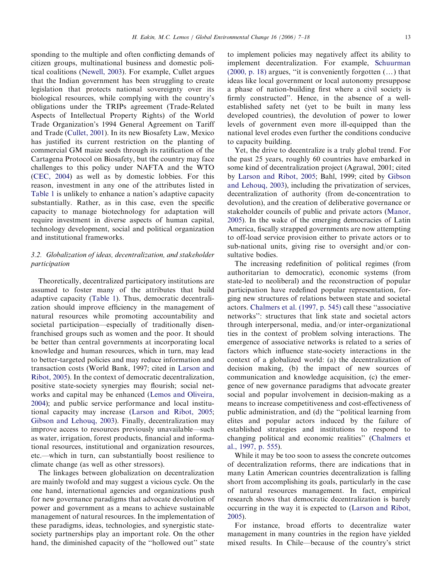sponding to the multiple and often conflicting demands of citizen groups, multinational business and domestic political coalitions ([Newell, 2003](#page-11-0)). For example, Cullet argues that the Indian government has been struggling to create legislation that protects national sovereignty over its biological resources, while complying with the country's obligations under the TRIPs agreement (Trade-Related Aspects of Intellectual Property Rights) of the World Trade Organization's 1994 General Agreement on Tariff and Trade [\(Cullet, 2001](#page-10-0)). In its new Biosafety Law, Mexico has justified its current restriction on the planting of commercial GM maize seeds through its ratification of the Cartagena Protocol on Biosafety, but the country may face challenges to this policy under NAFTA and the WTO ([CEC, 2004](#page-11-0)) as well as by domestic lobbies. For this reason, investment in any one of the attributes listed in [Table 1](#page-3-0) is unlikely to enhance a nation's adaptive capacity substantially. Rather, as in this case, even the specific capacity to manage biotechnology for adaptation will require investment in diverse aspects of human capital, technology development, social and political organization and institutional frameworks.

## 3.2. Globalization of ideas, decentralization, and stakeholder participation

Theoretically, decentralized participatory institutions are assumed to foster many of the attributes that build adaptive capacity ([Table 1\)](#page-3-0). Thus, democratic decentralization should improve efficiency in the management of natural resources while promoting accountability and societal participation—especially of traditionally disenfranchised groups such as women and the poor. It should be better than central governments at incorporating local knowledge and human resources, which in turn, may lead to better-targeted policies and may reduce information and transaction costs (World Bank, 1997; cited in [Larson and](#page-11-0) [Ribot, 2005](#page-11-0)). In the context of democratic decentralization, positive state-society synergies may flourish; social networks and capital may be enhanced [\(Lemos and Oliveira,](#page-11-0) [2004](#page-11-0)); and public service performance and local institutional capacity may increase [\(Larson and Ribot, 2005;](#page-11-0) [Gibson and Lehouq, 2003\)](#page-10-0). Finally, decentralization may improve access to resources previously unavailable—such as water, irrigation, forest products, financial and informational resources, institutional and organization resources, etc.—which in turn, can substantially boost resilience to climate change (as well as other stressors).

The linkages between globalization on decentralization are mainly twofold and may suggest a vicious cycle. On the one hand, international agencies and organizations push for new governance paradigms that advocate devolution of power and government as a means to achieve sustainable management of natural resources. In the implementation of these paradigms, ideas, technologies, and synergistic statesociety partnerships play an important role. On the other hand, the diminished capacity of the "hollowed out" state

to implement policies may negatively affect its ability to implement decentralization. For example, [Schuurman](#page-11-0)  $(2000, p. 18)$  argues, "it is conveniently forgotten  $(\ldots)$  that ideas like local government or local autonomy presuppose a phase of nation-building first where a civil society is firmly constructed''. Hence, in the absence of a wellestablished safety net (yet to be built in many less developed countries), the devolution of power to lower levels of government even more ill-equipped than the national level erodes even further the conditions conducive to capacity building.

Yet, the drive to decentralize is a truly global trend. For the past 25 years, roughly 60 countries have embarked in some kind of decentralization project (Agrawal, 2001; cited by [Larson and Ribot, 2005](#page-11-0); Bahl, 1999; cited by [Gibson](#page-10-0) [and Lehouq, 2003\)](#page-10-0), including the privatization of services, decentralization of authority (from de-concentration to devolution), and the creation of deliberative governance or stakeholder councils of public and private actors [\(Manor,](#page-11-0) [2005](#page-11-0)). In the wake of the emerging democracies of Latin America, fiscally strapped governments are now attempting to off-load service provision either to private actors or to sub-national units, giving rise to oversight and/or consultative bodies.

The increasing redefinition of political regimes (from authoritarian to democratic), economic systems (from state-led to neoliberal) and the reconstruction of popular participation have redefined popular representation, forging new structures of relations between state and societal actors. [Chalmers et al. \(1997, p. 545\)](#page-10-0) call these ''associative networks'': structures that link state and societal actors through interpersonal, media, and/or inter-organizational ties in the context of problem solving interactions. The emergence of associative networks is related to a series of factors which influence state-society interactions in the context of a globalized world: (a) the decentralization of decision making, (b) the impact of new sources of communication and knowledge acquisition, (c) the emergence of new governance paradigms that advocate greater social and popular involvement in decision-making as a means to increase competitiveness and cost-effectiveness of public administration, and (d) the ''political learning from elites and popular actors induced by the failure of established strategies and institutions to respond to changing political and economic realities'' ([Chalmers et](#page-10-0) [al., 1997, p. 555](#page-10-0)).

While it may be too soon to assess the concrete outcomes of decentralization reforms, there are indications that in many Latin American countries decentralization is falling short from accomplishing its goals, particularly in the case of natural resources management. In fact, empirical research shows that democratic decentralization is barely occurring in the way it is expected to [\(Larson and Ribot,](#page-11-0) [2005](#page-11-0)).

For instance, broad efforts to decentralize water management in many countries in the region have yielded mixed results. In Chile—because of the country's strict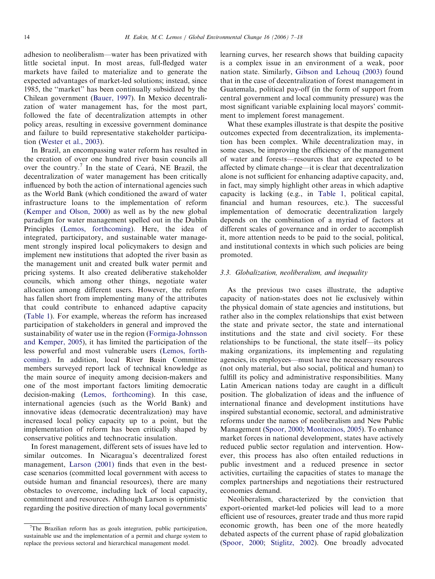adhesion to neoliberalism—water has been privatized with little societal input. In most areas, full-fledged water markets have failed to materialize and to generate the expected advantages of market-led solutions; instead, since 1985, the ''market'' has been continually subsidized by the Chilean government ([Bauer, 1997\)](#page-10-0). In Mexico decentralization of water management has, for the most part, followed the fate of decentralization attempts in other policy areas, resulting in excessive government dominance and failure to build representative stakeholder participation [\(Wester et al., 2003\)](#page-11-0).

In Brazil, an encompassing water reform has resulted in the creation of over one hundred river basin councils all over the country.<sup>7</sup> In the state of Ceará, NE Brazil, the decentralization of water management has been critically influenced by both the action of international agencies such as the World Bank (which conditioned the award of water infrastructure loans to the implementation of reform [\(Kemper and Olson, 2000\)](#page-11-0) as well as by the new global paradigm for water management spelled out in the Dublin Principles [\(Lemos, forthcoming](#page-11-0)). Here, the idea of integrated, participatory, and sustainable water management strongly inspired local policymakers to design and implement new institutions that adopted the river basin as the management unit and created bulk water permit and pricing systems. It also created deliberative stakeholder councils, which among other things, negotiate water allocation among different users. However, the reform has fallen short from implementing many of the attributes that could contribute to enhanced adaptive capacity [\(Table 1\)](#page-3-0). For example, whereas the reform has increased participation of stakeholders in general and improved the sustainability of water use in the region ([Formiga-Johnsson](#page-10-0) [and Kemper, 2005\)](#page-10-0), it has limited the participation of the less powerful and most vulnerable users [\(Lemos, forth](#page-11-0)[coming](#page-11-0)). In addition, local River Basin Committee members surveyed report lack of technical knowledge as the main source of inequity among decision-makers and one of the most important factors limiting democratic decision-making [\(Lemos, forthcoming](#page-11-0)). In this case, international agencies (such as the World Bank) and innovative ideas (democratic decentralization) may have increased local policy capacity up to a point, but the implementation of reform has been critically shaped by conservative politics and technocratic insulation.

In forest management, different sets of issues have led to similar outcomes. In Nicaragua's decentralized forest management, [Larson \(2001\)](#page-11-0) finds that even in the bestcase scenarios (committed local government with access to outside human and financial resources), there are many obstacles to overcome, including lack of local capacity, commitment and resources. Although Larson is optimistic regarding the positive direction of many local governments'

learning curves, her research shows that building capacity is a complex issue in an environment of a weak, poor nation state. Similarly, [Gibson and Lehouq \(2003\)](#page-10-0) found that in the case of decentralization of forest management in Guatemala, political pay-off (in the form of support from central government and local community pressure) was the most significant variable explaining local mayors' commitment to implement forest management.

What these examples illustrate is that despite the positive outcomes expected from decentralization, its implementation has been complex. While decentralization may, in some cases, be improving the efficiency of the management of water and forests—resources that are expected to be affected by climate change—it is clear that decentralization alone is not sufficient for enhancing adaptive capacity, and, in fact, may simply highlight other areas in which adaptive capacity is lacking (e.g., in [Table 1](#page-3-0), political capital, financial and human resources, etc.). The successful implementation of democratic decentralization largely depends on the combination of a myriad of factors at different scales of governance and in order to accomplish it, more attention needs to be paid to the social, political, and institutional contexts in which such policies are being promoted.

## 3.3. Globalization, neoliberalism, and inequality

As the previous two cases illustrate, the adaptive capacity of nation-states does not lie exclusively within the physical domain of state agencies and institutions, but rather also in the complex relationships that exist between the state and private sector, the state and international institutions and the state and civil society. For these relationships to be functional, the state itself—its policy making organizations, its implementing and regulating agencies, its employees—must have the necessary resources (not only material, but also social, political and human) to fulfill its policy and administrative responsibilities. Many Latin American nations today are caught in a difficult position. The globalization of ideas and the influence of international finance and development institutions have inspired substantial economic, sectoral, and administrative reforms under the names of neoliberalism and New Public Management ([Spoor, 2000](#page-11-0); [Montecinos, 2005](#page-11-0)). To enhance market forces in national development, states have actively reduced public sector regulation and intervention. However, this process has also often entailed reductions in public investment and a reduced presence in sector activities, curtailing the capacities of states to manage the complex partnerships and negotiations their restructured economies demand.

Neoliberalism, characterized by the conviction that export-oriented market-led policies will lead to a more efficient use of resources, greater trade and thus more rapid economic growth, has been one of the more heatedly debated aspects of the current phase of rapid globalization [\(Spoor, 2000;](#page-11-0) [Stiglitz, 2002\)](#page-11-0). One broadly advocated

<sup>&</sup>lt;sup>7</sup>The Brazilian reform has as goals integration, public participation, sustainable use and the implementation of a permit and charge system to replace the previous sectoral and hierarchical management model.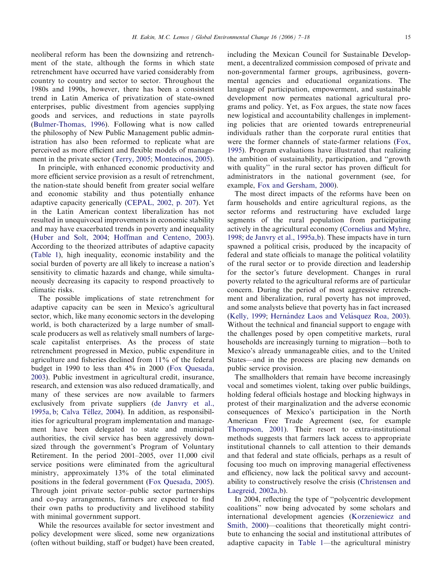neoliberal reform has been the downsizing and retrenchment of the state, although the forms in which state retrenchment have occurred have varied considerably from country to country and sector to sector. Throughout the 1980s and 1990s, however, there has been a consistent trend in Latin America of privatization of state-owned enterprises, public divestment from agencies supplying goods and services, and reductions in state payrolls ([Bulmer-Thomas, 1996\)](#page-10-0). Following what is now called the philosophy of New Public Management public administration has also been reformed to replicate what are perceived as more efficient and flexible models of management in the private sector [\(Terry, 2005](#page-11-0); [Montecinos, 2005\)](#page-11-0).

In principle, with enhanced economic productivity and more efficient service provision as a result of retrenchment, the nation-state should benefit from greater social welfare and economic stability and thus potentially enhance adaptive capacity generically [\(CEPAL, 2002, p. 207](#page-10-0)). Yet in the Latin American context liberalization has not resulted in unequivocal improvements in economic stability and may have exacerbated trends in poverty and inequality ([Huber and Solt, 2004](#page-10-0); [Hoffman and Centeno, 2003\)](#page-10-0). According to the theorized attributes of adaptive capacity ([Table 1](#page-3-0)), high inequality, economic instability and the social burden of poverty are all likely to increase a nation's sensitivity to climatic hazards and change, while simultaneously decreasing its capacity to respond proactively to climatic risks.

The possible implications of state retrenchment for adaptive capacity can be seen in Mexico's agricultural sector, which, like many economic sectors in the developing world, is both characterized by a large number of smallscale producers as well as relatively small numbers of largescale capitalist enterprises. As the process of state retrenchment progressed in Mexico, public expenditure in agriculture and fisheries declined from 11% of the federal budget in 1990 to less than 4% in 2000 [\(Fox Quesada,](#page-10-0) [2003](#page-10-0)). Public investment in agricultural credit, insurance, research, and extension was also reduced dramatically, and many of these services are now available to farmers exclusively from private suppliers ([de Janvry et al.,](#page-10-0) [1995a, b](#page-10-0); Calva Téllez, 2004). In addition, as responsibilities for agricultural program implementation and management have been delegated to state and municipal authorities, the civil service has been aggressively downsized through the government's Program of Voluntary Retirement. In the period 2001–2005, over 11,000 civil service positions were eliminated from the agricultural ministry, approximately 13% of the total eliminated positions in the federal government ([Fox Quesada, 2005\)](#page-10-0). Through joint private sector–public sector partnerships and co-pay arrangements, farmers are expected to find their own paths to productivity and livelihood stability with minimal government support.

While the resources available for sector investment and policy development were sliced, some new organizations (often without building, staff or budget) have been created, including the Mexican Council for Sustainable Development, a decentralized commission composed of private and non-governmental farmer groups, agribusiness, governmental agencies and educational organizations. The language of participation, empowerment, and sustainable development now permeates national agricultural programs and policy. Yet, as Fox argues, the state now faces new logistical and accountability challenges in implementing policies that are oriented towards entrepreneurial individuals rather than the corporate rural entities that were the former channels of state-farmer relations ([Fox,](#page-10-0) [1995](#page-10-0)). Program evaluations have illustrated that realizing the ambition of sustainability, participation, and ''growth with quality'' in the rural sector has proven difficult for administrators in the national government (see, for example, [Fox and Gersham, 2000](#page-10-0)).

The most direct impacts of the reforms have been on farm households and entire agricultural regions, as the sector reforms and restructuring have excluded large segments of the rural population from participating actively in the agricultural economy [\(Cornelius and Myhre,](#page-10-0) [1998](#page-10-0); [de Janvry et al., 1995a,b\)](#page-10-0). These impacts have in turn spawned a political crisis, produced by the incapacity of federal and state officials to manage the political volatility of the rural sector or to provide direction and leadership for the sector's future development. Changes in rural poverty related to the agricultural reforms are of particular concern. During the period of most aggressive retrenchment and liberalization, rural poverty has not improved, and some analysts believe that poverty has in fact increased ([Kelly, 1999](#page-11-0); Hernández Laos and Velásquez Roa, 2003). Without the technical and financial support to engage with the challenges posed by open competitive markets, rural households are increasingly turning to migration—both to Mexico's already unmanageable cities, and to the United States—and in the process are placing new demands on public service provision.

The smallholders that remain have become increasingly vocal and sometimes violent, taking over public buildings, holding federal officials hostage and blocking highways in protest of their marginalization and the adverse economic consequences of Mexico's participation in the North American Free Trade Agreement (see, for example [Thompson, 2001](#page-11-0)). Their resort to extra-institutional methods suggests that farmers lack access to appropriate institutional channels to call attention to their demands and that federal and state officials, perhaps as a result of focusing too much on improving managerial effectiveness and efficiency, now lack the political savvy and accountability to constructively resolve the crisis [\(Christensen and](#page-10-0) [Laegreid, 2002a,b](#page-10-0)).

In 2004, reflecting the type of ''polycentric development coalitions'' now being advocated by some scholars and international development agencies ([Korzeniewicz and](#page-11-0) [Smith, 2000\)](#page-11-0)—coalitions that theoretically might contribute to enhancing the social and institutional attributes of adaptive capacity in [Table 1](#page-3-0)—the agricultural ministry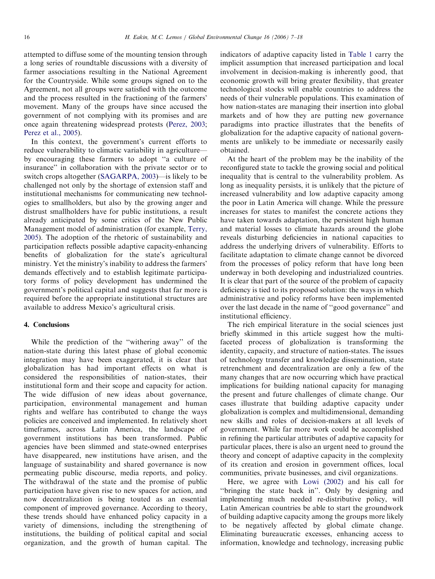attempted to diffuse some of the mounting tension through a long series of roundtable discussions with a diversity of farmer associations resulting in the National Agreement for the Countryside. While some groups signed on to the Agreement, not all groups were satisfied with the outcome and the process resulted in the fractioning of the farmers' movement. Many of the groups have since accused the government of not complying with its promises and are once again threatening widespread protests ([Perez, 2003](#page-11-0); [Perez et al., 2005](#page-11-0)).

In this context, the government's current efforts to reduce vulnerability to climatic variability in agriculture by encouraging these farmers to adopt ''a culture of insurance'' in collaboration with the private sector or to switch crops altogether ([SAGARPA, 2003\)](#page-11-0)—is likely to be challenged not only by the shortage of extension staff and institutional mechanisms for communicating new technologies to smallholders, but also by the growing anger and distrust smallholders have for public institutions, a result already anticipated by some critics of the New Public Management model of administration (for example, [Terry,](#page-11-0) [2005\)](#page-11-0). The adoption of the rhetoric of sustainability and participation reflects possible adaptive capacity-enhancing benefits of globalization for the state's agricultural ministry. Yet the ministry's inability to address the farmers' demands effectively and to establish legitimate participatory forms of policy development has undermined the government's political capital and suggests that far more is required before the appropriate institutional structures are available to address Mexico's agricultural crisis.

## 4. Conclusions

While the prediction of the ''withering away'' of the nation-state during this latest phase of global economic integration may have been exaggerated, it is clear that globalization has had important effects on what is considered the responsibilities of nation-states, their institutional form and their scope and capacity for action. The wide diffusion of new ideas about governance, participation, environmental management and human rights and welfare has contributed to change the ways policies are conceived and implemented. In relatively short timeframes, across Latin America, the landscape of government institutions has been transformed. Public agencies have been slimmed and state-owned enterprises have disappeared, new institutions have arisen, and the language of sustainability and shared governance is now permeating public discourse, media reports, and policy. The withdrawal of the state and the promise of public participation have given rise to new spaces for action, and now decentralization is being touted as an essential component of improved governance. According to theory, these trends should have enhanced policy capacity in a variety of dimensions, including the strengthening of institutions, the building of political capital and social organization, and the growth of human capital. The indicators of adaptive capacity listed in [Table 1](#page-3-0) carry the implicit assumption that increased participation and local involvement in decision-making is inherently good, that economic growth will bring greater flexibility, that greater technological stocks will enable countries to address the needs of their vulnerable populations. This examination of how nation-states are managing their insertion into global markets and of how they are putting new governance paradigms into practice illustrates that the benefits of globalization for the adaptive capacity of national governments are unlikely to be immediate or necessarily easily obtained.

At the heart of the problem may be the inability of the reconfigured state to tackle the growing social and political inequality that is central to the vulnerability problem. As long as inequality persists, it is unlikely that the picture of increased vulnerability and low adaptive capacity among the poor in Latin America will change. While the pressure increases for states to manifest the concrete actions they have taken towards adaptation, the persistent high human and material losses to climate hazards around the globe reveals disturbing deficiencies in national capacities to address the underlying drivers of vulnerability. Efforts to facilitate adaptation to climate change cannot be divorced from the processes of policy reform that have long been underway in both developing and industrialized countries. It is clear that part of the source of the problem of capacity deficiency is tied to its proposed solution: the ways in which administrative and policy reforms have been implemented over the last decade in the name of ''good governance'' and institutional efficiency.

The rich empirical literature in the social sciences just briefly skimmed in this article suggest how the multifaceted process of globalization is transforming the identity, capacity, and structure of nation-states. The issues of technology transfer and knowledge dissemination, state retrenchment and decentralization are only a few of the many changes that are now occurring which have practical implications for building national capacity for managing the present and future challenges of climate change. Our cases illustrate that building adaptive capacity under globalization is complex and multidimensional, demanding new skills and roles of decision-makers at all levels of government. While far more work could be accomplished in refining the particular attributes of adaptive capacity for particular places, there is also an urgent need to ground the theory and concept of adaptive capacity in the complexity of its creation and erosion in government offices, local communities, private businesses, and civil organizations.

Here, we agree with [Lowi \(2002\)](#page-11-0) and his call for "bringing the state back in". Only by designing and implementing much needed re-distributive policy, will Latin American countries be able to start the groundwork of building adaptive capacity among the groups more likely to be negatively affected by global climate change. Eliminating bureaucratic excesses, enhancing access to information, knowledge and technology, increasing public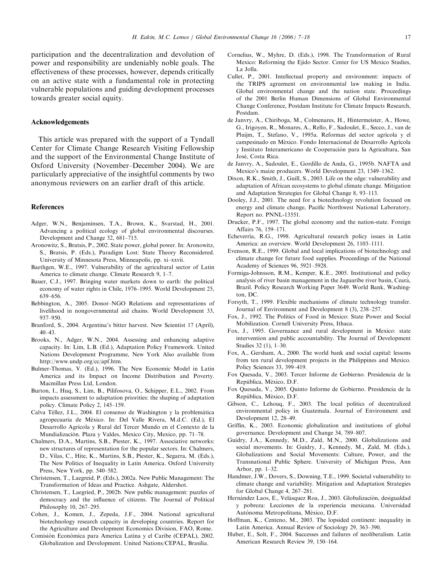<span id="page-10-0"></span>participation and the decentralization and devolution of power and responsibility are undeniably noble goals. The effectiveness of these processes, however, depends critically on an active state with a fundamental role in protecting vulnerable populations and guiding development processes towards greater social equity.

## Acknowledgements

This article was prepared with the support of a Tyndall Center for Climate Change Research Visiting Fellowship and the support of the Environmental Change Institute of Oxford University (November–December 2004). We are particularly appreciative of the insightful comments by two anonymous reviewers on an earlier draft of this article.

#### References

- Adger, W.N., Benjaminsen, T.A., Brown, K., Svarstad, H., 2001. Advancing a political ecology of global environmental discourses. Development and Change 32, 681–715.
- Aronowitz, S., Bratsis, P., 2002. State power, global power. In: Aronowitz, S., Bratsis, P. (Eds.), Paradigm Lost: State Theory Reconsidered. University of Minnesota Press, Minneapolis, pp. xi–xxvii.
- Baethgen, W.E., 1997. Vulnerability of the agricultural sector of Latin America to climate change. Climate Research 9, 1–7.
- Bauer, C.J., 1997. Bringing water markets down to earth: the political economy of water rights in Chile, 1976–1995. World Development 25, 639–656.
- Bebbington, A., 2005. Donor–NGO Relations and representations of livelihood in nongovernmental aid chains. World Development 33, 937–950.
- Branford, S., 2004. Argentina's bitter harvest. New Scientist 17 (April), 40–43.
- Brooks, N., Adger, W.N., 2004. Assessing and enhancing adaptive capacity. In: Lim, L.B. (Ed.), Adaptation Policy Framework. United Nations Development Programme, New York Also available from [http://www.undp.org/cc/apf.htm.](http://www.undp.org/cc/apf.htm)
- Bulmer-Thomas, V. (Ed.), 1996. The New Economic Model in Latin America and its Impact on Income Distribution and Poverty. Macmillan Press Ltd, London.
- Burton, I., Huq, S., Lim, B., Pilifosova, O., Schipper, E.L., 2002. From impacts assessment to adaptation priorities: the shaping of adaptation policy. Climate Policy 2, 145–159.
- Calva Téllez, J.L., 2004. El consenso de Washington y la problemática agropecuaria de México. In: Del Valle Rivera, M.d.C. (Ed.), El Desarrollo Agrícola y Rural del Tercer Mundo en el Contexto de la Mundialización. Plaza y Valdes, Mexico City, Mexico, pp. 71–78.
- Chalmers, D.A., Martins, S.B., Piester, K., 1997. Associative networks: new structures of representation for the popular sectors. In: Chalmers, D., Vilas, C., Hite, K., Martins, S.B., Piester, K., Segarra, M. (Eds.), The New Politics of Inequality in Latin America. Oxford University Press, New York, pp. 540–582.
- Christensen, T., Laegreid, P. (Eds.), 2002a. New Public Management: The Transformation of Ideas and Practice. Ashgate, Aldershot.
- Christensen, T., Laegried, P., 2002b. New public management: puzzles of democracy and the influence of citizens. The Journal of Political Philosophy 10, 267–295.
- Cohen, J., Komen, J., Zepeda, J.F., 2004. National agricultural biotechnology research capacity in developing countries. Report for the Agriculture and Development Economics Division, FAO, Rome.
- Comisión Económica para America Latina y el Caribe (CEPAL), 2002. Globalization and Development. United Nations/CEPAL, Brasilia.
- Cornelius, W., Myhre, D. (Eds.), 1998. The Transformation of Rural Mexico: Reforming the Ejido Sector. Center for US Mexico Studies, La Jolla.
- Cullet, P., 2001. Intellectual property and environment: impacts of the TRIPS agreement on environmental law making in India. Global environmental change and the nation state. Proceedings of the 2001 Berlin Human Dimensions of Global Environmental Change Conference, Postdam Institute for Climate Impacts Research, Postdam.
- de Janvry, A., Chiriboga, M., Colmenares, H., Hintermeister, A., Howe, G., Irigoyen, R., Monares, A., Rello, F., Sadoulet, E., Secco, J., van de Pluijm, T., Stefano, V., 1995a. Reformas del sector agrícola y el campesinado en México. Fondo Internacional de Desarrollo Agrícola y Instituto Interamericano de Cooperación para la Agricultura, San José, Costa Rica.
- de Janvry, A., Sadoulet, E., Gordillo de Anda, G., 1995b. NAFTA and Mexico's maize producers. World Development 23, 1349–1362.
- Dixon, R.K., Smith, J., Guill, S., 2003. Life on the edge: vulnerability and adaptation of African ecosystems to global climate change. Mitigation and Adaptation Strategies for Global Change 8, 93–113.
- Dooley, J.J., 2001. The need for a biotechnology revolution focused on energy and climate change, Pacific Northwest National Laboratory, Report no. PNNL-13551.
- Drucker, P.F., 1997. The global economy and the nation-state. Foreign Affairs 76, 159–171.
- Echeverría, R.G., 1998. Agricultural research policy issues in Latin America: an overview. World Development 26, 1103–1111.
- Evenson, R.E., 1999. Global and local implications of biotechnology and climate change for future food supplies. Proceedings of the National Academy of Sciences 96, 5921–5928.
- Formiga-Johnsson, R.M., Kemper, K.E., 2005. Institutional and policy analysis of river basin management in the Jaguaribe river basin, Ceara´, Brazil. Policy Research Working Paper 3649. World Bank, Washington, DC.
- Forsyth, T., 1999. Flexible mechanisms of climate technology transfer. Journal of Environment and Development 8 (3), 238–257.
- Fox, J., 1992. The Politics of Food in Mexico: State Power and Social Mobilization. Cornell University Press, Ithaca.
- Fox, J., 1995. Governance and rural development in Mexico: state intervention and public accountability. The Journal of Development Studies 32 (1), 1–30.
- Fox, A., Gersham, A., 2000. The world bank and social capital: lessons from ten rural development projects in the Philippines and Mexico. Policy Sciences 33, 399–419.
- Fox Quesada, V., 2003. Tercer Informe de Gobierno. Presidencia de la República, México, D.F.
- Fox Quesada, V., 2005. Quinto Informe de Gobierno. Presidencia de la República, México, D.F.
- Gibson, C., Lehouq, F., 2003. The local politics of decentralized environmental policy in Guatemala. Journal of Environment and Development 12, 28–49.
- Griffin, K., 2003. Economic globalization and institutions of global governance. Development and Change 34, 789–807.
- Guidry, J.A., Kennedy, M.D., Zald, M.N., 2000. Globalizations and social movements. In: Guidry, J., Kennedy, M., Zald, M. (Eds.), Globalizations and Social Movements: Culture, Power, and the Transnational Public Sphere. University of Michigan Press, Ann Arbor, pp. 1–32.
- Handmer, J.W., Dovers, S., Downing, T.E., 1999. Societal vulnerability to climate change and variability. Mitigation and Adaptation Strategies for Global Change 4, 267–281.
- Hernández Laos, E., Velásquez Roa, J., 2003. Globalización, desigualdad y pobreza: Lecciones de la experiencia mexicana. Universidad Autónoma Metropolitana, México, D.F.
- Hoffman, K., Centeno, M., 2003. The lopsided continent: inequality in Latin America. Annual Review of Sociology 29, 363–390.
- Huber, E., Solt, F., 2004. Successes and failures of neoliberalism. Latin American Research Review 39, 150–164.